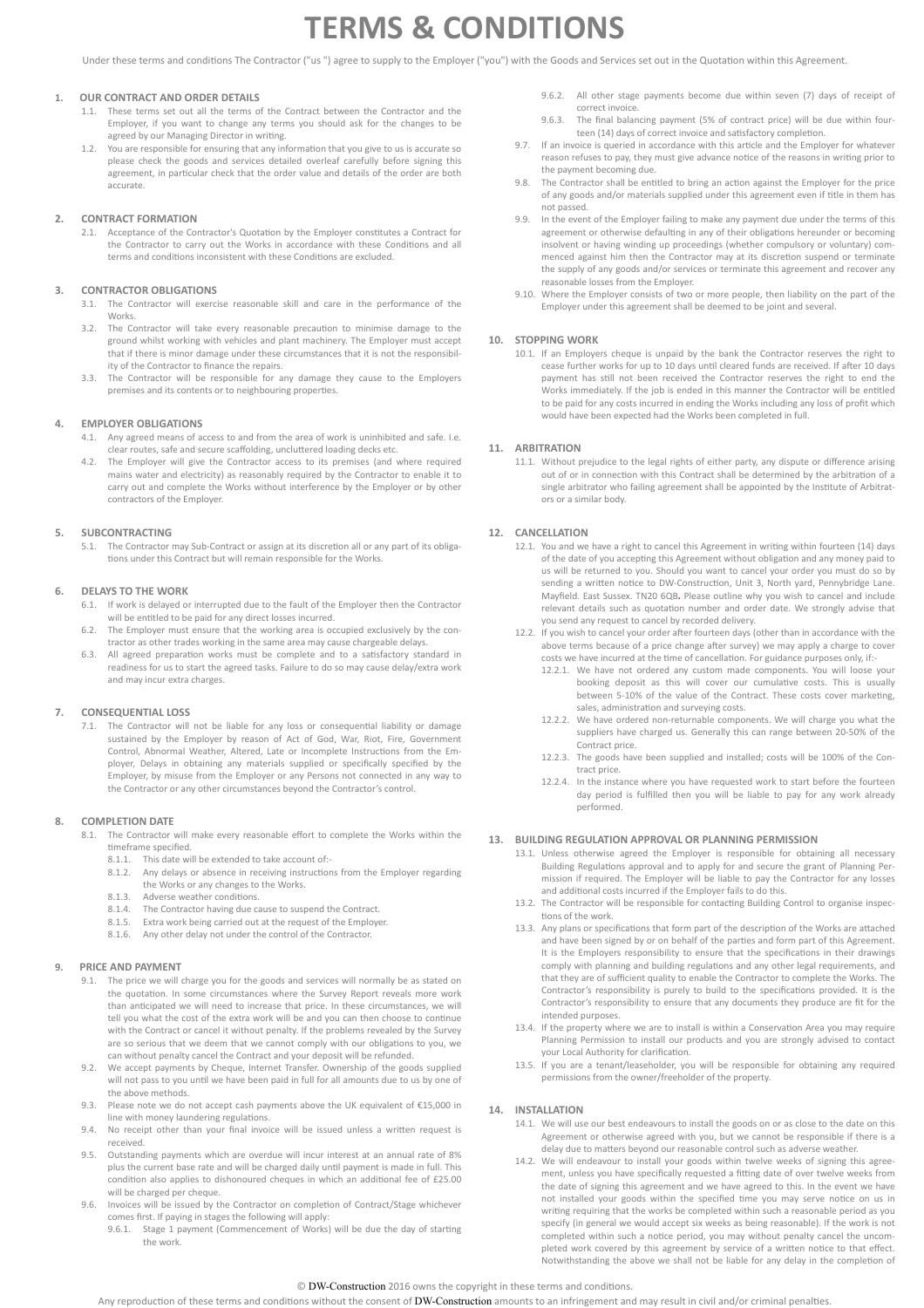# **TERMS & CONDITIONS**

Under these terms and conditions The Contractor ("us ") agree to supply to the Employer ("you") with the Goods and Services set out in the Quotation within this Agreement.

# **1. OUR CONTRACT AND ORDER DETAILS**

- 1.1. These terms set out all the terms of the Contract between the Contractor and the Employer, if you want to change any terms you should ask for the changes to be agreed by our Managing Director in writing.
- 1.2. You are responsible for ensuring that any information that you give to us is accurate so please check the goods and services detailed overleaf carefully before signing this agreement, in particular check that the order value and details of the order are both accurate.

# **2. CONTRACT FORMATION**

2.1. Acceptance of the Contractor's Quotation by the Employer constitutes a Contract for the Contractor to carry out the Works in accordance with these Conditions and all terms and conditions inconsistent with these Conditions are excluded.

# **3. CONTRACTOR OBLIGATIONS**

- 3.1. The Contractor will exercise reasonable skill and care in the performance of the Works.
- 3.2. The Contractor will take every reasonable precaution to minimise damage to the ground whilst working with vehicles and plant machinery. The Employer must accept that if there is minor damage under these circumstances that it is not the responsibility of the Contractor to finance the repairs.
- 3.3. The Contractor will be responsible for any damage they cause to the Employers premises and its contents or to neighbouring properties.

#### **4. EMPLOYER OBLIGATIONS**

- 4.1. Any agreed means of access to and from the area of work is uninhibited and safe. I.e. clear routes, safe and secure scaffolding, uncluttered loading decks etc.
- 4.2. The Employer will give the Contractor access to its premises (and where required mains water and electricity) as reasonably required by the Contractor to enable it to carry out and complete the Works without interference by the Employer or by other contractors of the Employer.

# **5. SUBCONTRACTING**

5.1. The Contractor may Sub-Contract or assign at its discretion all or any part of its obligations under this Contract but will remain responsible for the Works.

#### **6. DELAYS TO THE WORK**

- 6.1. If work is delayed or interrupted due to the fault of the Employer then the Contractor will be entitled to be paid for any direct losses incurred.
- 6.2. The Employer must ensure that the working area is occupied exclusively by the contractor as other trades working in the same area may cause chargeable delays.
- 6.3. All agreed preparation works must be complete and to a satisfactory standard in readiness for us to start the agreed tasks. Failure to do so may cause delay/extra work and may incur extra charges.

#### **7. CONSEQUENTIAL LOSS**

7.1. The Contractor will not be liable for any loss or consequential liability or damage sustained by the Employer by reason of Act of God, War, Riot, Fire, Government Control, Abnormal Weather, Altered, Late or Incomplete Instructions from the Employer, Delays in obtaining any materials supplied or specifically specified by the Employer, by misuse from the Employer or any Persons not connected in any way to the Contractor or any other circumstances beyond the Contractor's control.

#### **8. COMPLETION DATE**

- 8.1. The Contractor will make every reasonable effort to complete the Works within the timeframe specified.
	- 8.1.1. This date will be extended to take account of:-<br>8.1.2. Any delays or absence in receiving instruction
		- Any delays or absence in receiving instructions from the Employer regarding the Works or any changes to the Works.
	- 8.1.3. Adverse weather conditions.<br>8.1.4. The Contractor having due ca
	- The Contractor having due cause to suspend the Contract.
	- 8.1.5. Extra work being carried out at the request of the Employer. 8.1.6. Any other delay not under the control of the Contractor.
	-

#### **9. PRICE AND PAYMENT**

- 9.1. The price we will charge you for the goods and services will normally be as stated on the quotation. In some circumstances where the Survey Report reveals more work than anticipated we will need to increase that price. In these circumstances, we will tell you what the cost of the extra work will be and you can then choose to continue with the Contract or cancel it without penalty. If the problems revealed by the Survey are so serious that we deem that we cannot comply with our obligations to you, we can without penalty cancel the Contract and your deposit will be refunded.
- 9.2. We accept payments by Cheque, Internet Transfer. Ownership of the goods supplied will not pass to you until we have been paid in full for all amounts due to us by one of the above methods.
- 9.3. Please note we do not accept cash payments above the UK equivalent of €15,000 in line with money laundering regulations.
- 9.4. No receipt other than your final invoice will be issued unless a written request is received.
- 9.5. Outstanding payments which are overdue will incur interest at an annual rate of 8% plus the current base rate and will be charged daily until payment is made in full. This condition also applies to dishonoured cheques in which an additional fee of £25.00 will be charged per cheque.
- 9.6. Invoices will be issued by the Contractor on completion of Contract/Stage whichever comes first. If paying in stages the following will apply:
	- Stage 1 payment (Commencement of Works) will be due the day of starting the work.
- 9.6.2. All other stage payments become due within seven (7) days of receipt of correct invoice
- 9.6.3. The final balancing payment (5% of contract price) will be due within fourteen (14) days of correct invoice and satisfactory completion.
- 9.7. If an invoice is queried in accordance with this article and the Employer for whatever reason refuses to pay, they must give advance notice of the reasons in writing prior to the payment becoming due.
- The Contractor shall be entitled to bring an action against the Employer for the price of any goods and/or materials supplied under this agreement even if title in them has not passed.
- 9.9. In the event of the Employer failing to make any payment due under the terms of this agreement or otherwise defaulting in any of their obligations hereunder or becoming insolvent or having winding up proceedings (whether compulsory or voluntary) commenced against him then the Contractor may at its discretion suspend or terminate the supply of any goods and/or services or terminate this agreement and recover any reasonable losses from the Employer.
- 9.10. Where the Employer consists of two or more people, then liability on the part of the Employer under this agreement shall be deemed to be joint and several.

# **10. STOPPING WORK**

10.1. If an Employers cheque is unpaid by the bank the Contractor reserves the right to cease further works for up to 10 days until cleared funds are received. If after 10 days payment has still not been received the Contractor reserves the right to end the Works immediately. If the job is ended in this manner the Contractor will be entitled to be paid for any costs incurred in ending the Works including any loss of profit which would have been expected had the Works been completed in full.

#### **11. ARBITRATION**

11.1. Without prejudice to the legal rights of either party, any dispute or difference arising out of or in connection with this Contract shall be determined by the arbitration of a single arbitrator who failing agreement shall be appointed by the Institute of Arbitrators or a similar body.

# **12. CANCELLATION**

- 12.1. You and we have a right to cancel this Agreement in writing within fourteen (14) days of the date of you accepting this Agreement without obligation and any money paid to us will be returned to you. Should you want to cancel your order you must do so by sending a written notice to DW-Construction, Unit 3, North yard, Pennybridge Lane. Mayfield. East Sussex. TN20 6QB**.** Please outline why you wish to cancel and include relevant details such as quotation number and order date. We strongly advise that you send any request to cancel by recorded delivery.
- 12.2. If you wish to cancel your order ajer fourteen days (other than in accordance with the above terms because of a price change after survey) we may apply a charge to cover costs we have incurred at the time of cancellation. For guidance purposes only, if:-
	- 12.2.1. We have not ordered any custom made components. You will loose your booking deposit as this will cover our cumulative costs. This is usually between 5-10% of the value of the Contract. These costs cover marketing, sales, administration and surveying costs.
	- 12.2.2. We have ordered non-returnable components. We will charge you what the suppliers have charged us. Generally this can range between 20-50% of the Contract price.
	- 12.2.3. The goods have been supplied and installed; costs will be 100% of the Contract price.
	- 12.2.4. In the instance where you have requested work to start before the fourteen day period is fulfilled then you will be liable to pay for any work already performed.

# **13. BUILDING REGULATION APPROVAL OR PLANNING PERMISSION**

- 13.1. Unless otherwise agreed the Employer is responsible for obtaining all necessary Building Regulations approval and to apply for and secure the grant of Planning Permission if required. The Employer will be liable to pay the Contractor for any losses and additional costs incurred if the Employer fails to do this.
- 13.2. The Contractor will be responsible for contacting Building Control to organise inspections of the work.
- 13.3. Any plans or specifications that form part of the description of the Works are attached and have been signed by or on behalf of the parties and form part of this Agreement. It is the Employers responsibility to ensure that the specifications in their drawings comply with planning and building regulations and any other legal requirements, and that they are of sufficient quality to enable the Contractor to complete the Works. The Contractor's responsibility is purely to build to the specifications provided. It is the Contractor's responsibility to ensure that any documents they produce are fit for the intended purposes.
- 13.4. If the property where we are to install is within a Conservation Area you may require Planning Permission to install our products and you are strongly advised to contact your Local Authority for clarification
- 13.5. If you are a tenant/leaseholder, you will be responsible for obtaining any required permissions from the owner/freeholder of the property.

#### **14. INSTALLATION**

- 14.1. We will use our best endeavours to install the goods on or as close to the date on this Agreement or otherwise agreed with you, but we cannot be responsible if there is a delay due to matters beyond our reasonable control such as adverse weather.
- 14.2. We will endeavour to install your goods within twelve weeks of signing this agreement, unless you have specifically requested a fitting date of over twelve weeks from the date of signing this agreement and we have agreed to this. In the event we have not installed your goods within the specified time you may serve notice on us in writing requiring that the works be completed within such a reasonable period as you specify (in general we would accept six weeks as being reasonable). If the work is not completed within such a notice period, you may without penalty cancel the uncompleted work covered by this agreement by service of a written notice to that effect. Notwithstanding the above we shall not be liable for any delay in the completion of

Any reproduction of these terms and conditions without the consent of DW-Construction amounts to an infringement and may result in civil and/or criminal penalties.